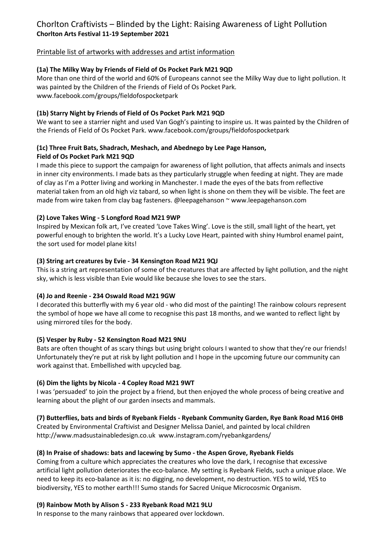# Printable list of artworks with addresses and artist information

# **(1a) The Milky Way by Friends of Field of Os Pocket Park M21 9QD**

More than one third of the world and 60% of Europeans cannot see the Milky Way due to light pollution. It was painted by the Children of the Friends of Field of Os Pocket Park. www.facebook.com/groups/fieldofospocketpark

# **(1b) Starry Night by Friends of Field of Os Pocket Park M21 9QD**

We want to see a starrier night and used Van Gogh's painting to inspire us. It was painted by the Children of the Friends of Field of Os Pocket Park. www.facebook.com/groups/fieldofospocketpark

#### **(1c) Three Fruit Bats, Shadrach, Meshach, and Abednego by Lee Page Hanson, Field of Os Pocket Park M21 9QD**

I made this piece to support the campaign for awareness of light pollution, that affects animals and insects in inner city environments. I made bats as they particularly struggle when feeding at night. They are made of clay as I'm a Potter living and working in Manchester. I made the eyes of the bats from reflective material taken from an old high viz tabard, so when light is shone on them they will be visible. The feet are made from wire taken from clay bag fasteners. @leepagehanson ~ www.leepagehanson.com

# **(2) Love Takes Wing - 5 Longford Road M21 9WP**

Inspired by Mexican folk art, I've created 'Love Takes Wing'. Love is the still, small light of the heart, yet powerful enough to brighten the world. It's a Lucky Love Heart, painted with shiny Humbrol enamel paint, the sort used for model plane kits!

# **(3) String art creatures by Evie - 34 Kensington Road M21 9QJ**

This is a string art representation of some of the creatures that are affected by light pollution, and the night sky, which is less visible than Evie would like because she loves to see the stars.

# **(4) Jo and Reenie - 234 Oswald Road M21 9GW**

I decorated this butterfly with my 6 year old - who did most of the painting! The rainbow colours represent the symbol of hope we have all come to recognise this past 18 months, and we wanted to reflect light by using mirrored tiles for the body.

# **(5) Vesper by Ruby - 52 Kensington Road M21 9NU**

Bats are often thought of as scary things but using bright colours I wanted to show that they're our friends! Unfortunately they're put at risk by light pollution and I hope in the upcoming future our community can work against that. Embellished with upcycled bag.

# **(6) Dim the lights by Nicola - 4 Copley Road M21 9WT**

I was 'persuaded' to join the project by a friend, but then enjoyed the whole process of being creative and learning about the plight of our garden insects and mammals.

# **(7) Butterflies, bats and birds of Ryebank Fields - Ryebank Community Garden, Rye Bank Road M16 0HB**

Created by Environmental Craftivist and Designer Melissa Daniel, and painted by local children http://www.madsustainabledesign.co.uk www.instagram.com/ryebankgardens/

# **(8) In Praise of shadows: bats and lacewing by Sumo - the Aspen Grove, Ryebank Fields**

Coming from a culture which appreciates the creatures who love the dark, I recognise that excessive artificial light pollution deteriorates the eco-balance. My setting is Ryebank Fields, such a unique place. We need to keep its eco-balance as it is: no digging, no development, no destruction. YES to wild, YES to biodiversity, YES to mother earth!!! Sumo stands for Sacred Unique Microcosmic Organism.

# **(9) Rainbow Moth by Alison S - 233 Ryebank Road M21 9LU**

In response to the many rainbows that appeared over lockdown.